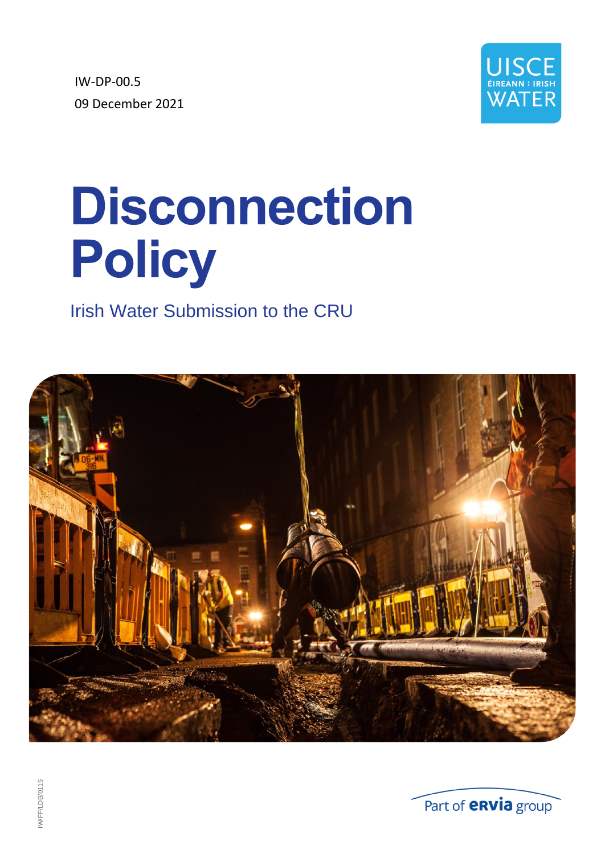IW-DP-00.5 09 December 2021



# **Disconnection Policy**

# Irish Water Submission to the CRU



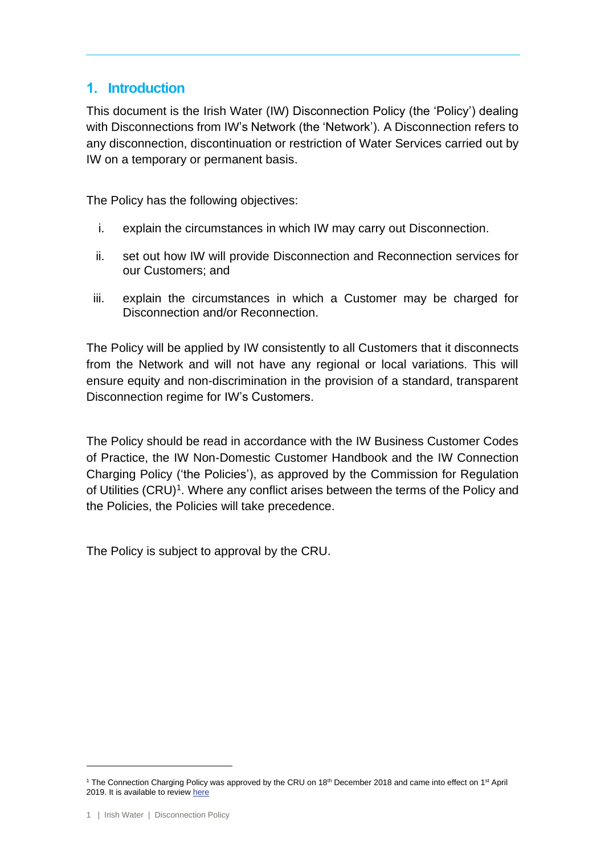# **1. Introduction**

This document is the Irish Water (IW) Disconnection Policy (the 'Policy') dealing with Disconnections from IW's Network (the 'Network'). A Disconnection refers to any disconnection, discontinuation or restriction of Water Services carried out by IW on a temporary or permanent basis.

The Policy has the following objectives:

- i. explain the circumstances in which IW may carry out Disconnection.
- ii. set out how IW will provide Disconnection and Reconnection services for our Customers; and
- iii. explain the circumstances in which a Customer may be charged for Disconnection and/or Reconnection.

The Policy will be applied by IW consistently to all Customers that it disconnects from the Network and will not have any regional or local variations. This will ensure equity and non-discrimination in the provision of a standard, transparent Disconnection regime for IW's Customers.

The Policy should be read in accordance with the IW Business Customer Codes of Practice, the IW Non-Domestic Customer Handbook and the IW Connection Charging Policy ('the Policies'), as approved by the Commission for Regulation of Utilities (CRU)<sup>1</sup>. Where any conflict arises between the terms of the Policy and the Policies, the Policies will take precedence.

The Policy is subject to approval by the CRU.

<sup>&</sup>lt;sup>1</sup> The Connection Charging Policy was approved by the CRU on 18<sup>th</sup> December 2018 and came into effect on 1<sup>st</sup> April 2019. It is available to review [here](https://www.water.ie/iw-documents/help-resources/connections/Connection-Charging-Policy-CRU-approved-18.12.2018.pdf)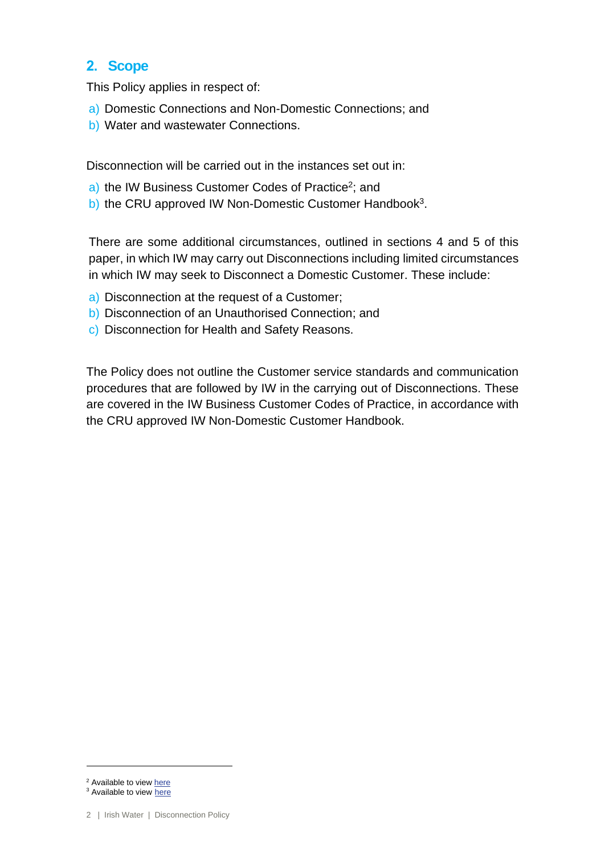# **2. Scope**

This Policy applies in respect of:

- a) Domestic Connections and Non-Domestic Connections; and
- b) Water and wastewater Connections.

Disconnection will be carried out in the instances set out in:

- a) the IW Business Customer Codes of Practice<sup>2</sup>; and
- b) the CRU approved IW Non-Domestic Customer Handbook<sup>3</sup>.

There are some additional circumstances, outlined in sections 4 and 5 of this paper, in which IW may carry out Disconnections including limited circumstances in which IW may seek to Disconnect a Domestic Customer. These include:

- a) Disconnection at the request of a Customer;
- b) Disconnection of an Unauthorised Connection; and
- c) Disconnection for Health and Safety Reasons.

The Policy does not outline the Customer service standards and communication procedures that are followed by IW in the carrying out of Disconnections. These are covered in the IW Business Customer Codes of Practice, in accordance with the CRU approved IW Non-Domestic Customer Handbook.

<sup>3</sup> Available to view [here](https://www.cru.ie/document_group/irish-water-non-domestic-customer-handbook/)

<sup>&</sup>lt;sup>2</sup> Available to view [here](https://www.water.ie/our-customer-commitment/)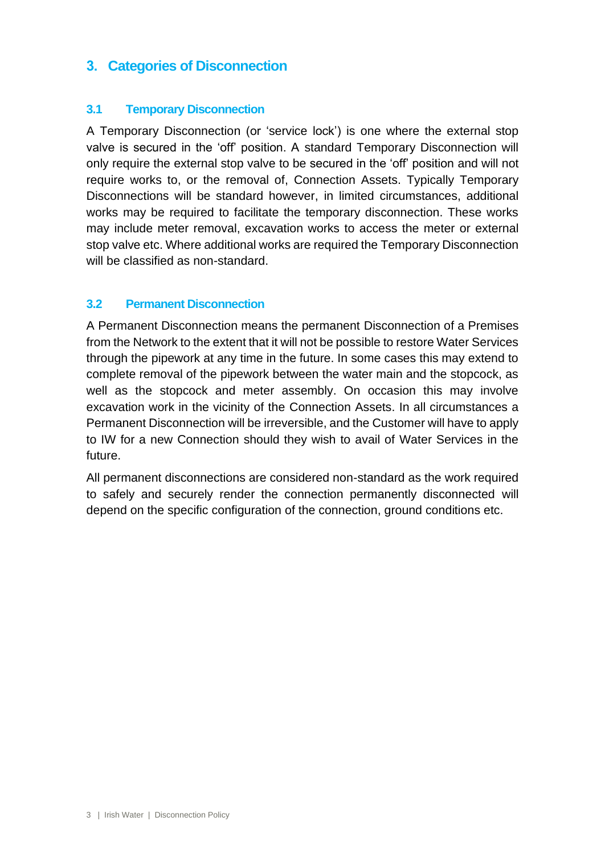# **3. Categories of Disconnection**

#### **3.1 Temporary Disconnection**

A Temporary Disconnection (or 'service lock') is one where the external stop valve is secured in the 'off' position. A standard Temporary Disconnection will only require the external stop valve to be secured in the 'off' position and will not require works to, or the removal of, Connection Assets. Typically Temporary Disconnections will be standard however, in limited circumstances, additional works may be required to facilitate the temporary disconnection. These works may include meter removal, excavation works to access the meter or external stop valve etc. Where additional works are required the Temporary Disconnection will be classified as non-standard.

#### **3.2 Permanent Disconnection**

A Permanent Disconnection means the permanent Disconnection of a Premises from the Network to the extent that it will not be possible to restore Water Services through the pipework at any time in the future. In some cases this may extend to complete removal of the pipework between the water main and the stopcock, as well as the stopcock and meter assembly. On occasion this may involve excavation work in the vicinity of the Connection Assets. In all circumstances a Permanent Disconnection will be irreversible, and the Customer will have to apply to IW for a new Connection should they wish to avail of Water Services in the future.

All permanent disconnections are considered non-standard as the work required to safely and securely render the connection permanently disconnected will depend on the specific configuration of the connection, ground conditions etc.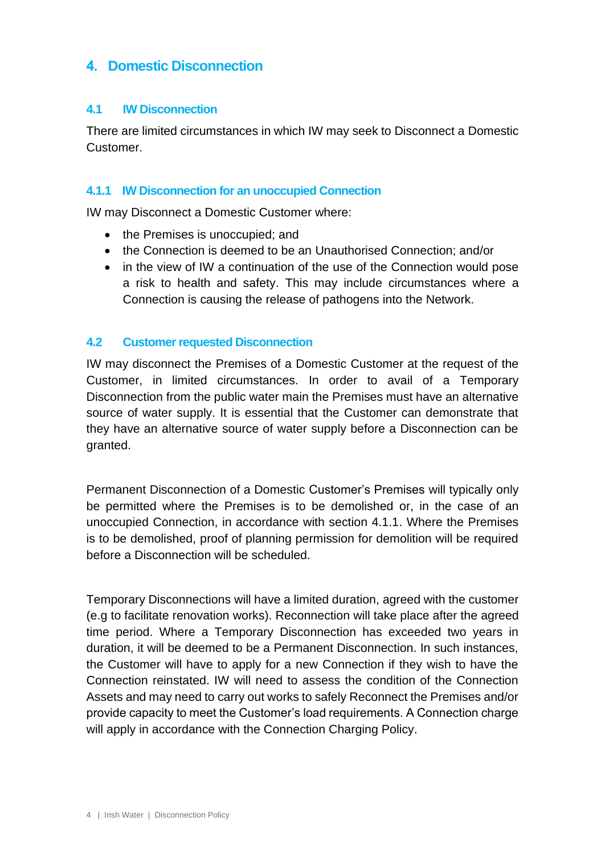# **4. Domestic Disconnection**

#### **4.1 IW Disconnection**

There are limited circumstances in which IW may seek to Disconnect a Domestic Customer.

#### **4.1.1 IW Disconnection for an unoccupied Connection**

IW may Disconnect a Domestic Customer where:

- the Premises is unoccupied; and
- the Connection is deemed to be an Unauthorised Connection: and/or
- in the view of IW a continuation of the use of the Connection would pose a risk to health and safety. This may include circumstances where a Connection is causing the release of pathogens into the Network.

#### **4.2 Customer requested Disconnection**

IW may disconnect the Premises of a Domestic Customer at the request of the Customer, in limited circumstances. In order to avail of a Temporary Disconnection from the public water main the Premises must have an alternative source of water supply. It is essential that the Customer can demonstrate that they have an alternative source of water supply before a Disconnection can be granted.

Permanent Disconnection of a Domestic Customer's Premises will typically only be permitted where the Premises is to be demolished or, in the case of an unoccupied Connection, in accordance with section 4.1.1. Where the Premises is to be demolished, proof of planning permission for demolition will be required before a Disconnection will be scheduled.

Temporary Disconnections will have a limited duration, agreed with the customer (e.g to facilitate renovation works). Reconnection will take place after the agreed time period. Where a Temporary Disconnection has exceeded two years in duration, it will be deemed to be a Permanent Disconnection. In such instances, the Customer will have to apply for a new Connection if they wish to have the Connection reinstated. IW will need to assess the condition of the Connection Assets and may need to carry out works to safely Reconnect the Premises and/or provide capacity to meet the Customer's load requirements. A Connection charge will apply in accordance with the Connection Charging Policy.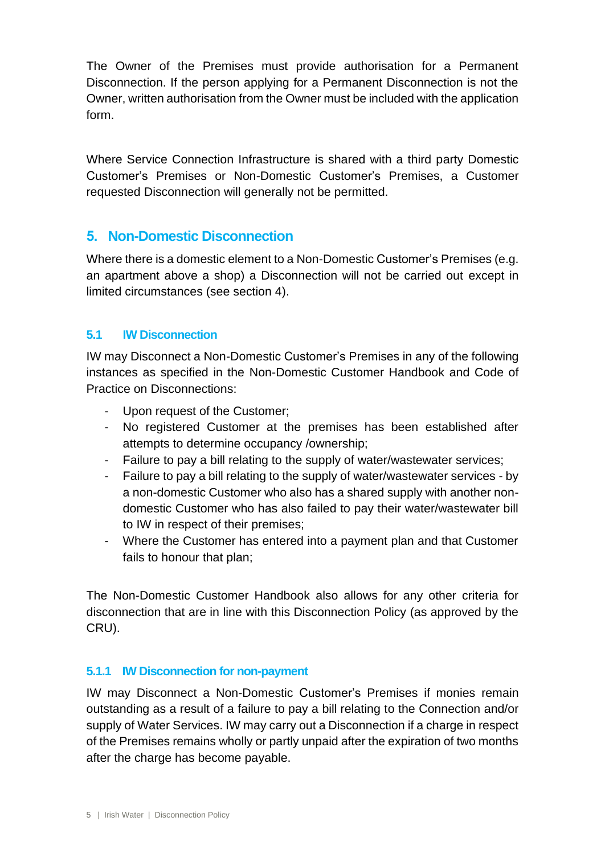The Owner of the Premises must provide authorisation for a Permanent Disconnection. If the person applying for a Permanent Disconnection is not the Owner, written authorisation from the Owner must be included with the application form.

Where Service Connection Infrastructure is shared with a third party Domestic Customer's Premises or Non-Domestic Customer's Premises, a Customer requested Disconnection will generally not be permitted.

# **5. Non-Domestic Disconnection**

Where there is a domestic element to a Non-Domestic Customer's Premises (e.g. an apartment above a shop) a Disconnection will not be carried out except in limited circumstances (see section 4).

### **5.1 IW Disconnection**

IW may Disconnect a Non-Domestic Customer's Premises in any of the following instances as specified in the Non-Domestic Customer Handbook and Code of Practice on Disconnections:

- Upon request of the Customer;
- No registered Customer at the premises has been established after attempts to determine occupancy /ownership;
- Failure to pay a bill relating to the supply of water/wastewater services;
- Failure to pay a bill relating to the supply of water/wastewater services by a non-domestic Customer who also has a shared supply with another nondomestic Customer who has also failed to pay their water/wastewater bill to IW in respect of their premises;
- Where the Customer has entered into a payment plan and that Customer fails to honour that plan;

The Non-Domestic Customer Handbook also allows for any other criteria for disconnection that are in line with this Disconnection Policy (as approved by the CRU).

#### **5.1.1 IW Disconnection for non-payment**

IW may Disconnect a Non-Domestic Customer's Premises if monies remain outstanding as a result of a failure to pay a bill relating to the Connection and/or supply of Water Services. IW may carry out a Disconnection if a charge in respect of the Premises remains wholly or partly unpaid after the expiration of two months after the charge has become payable.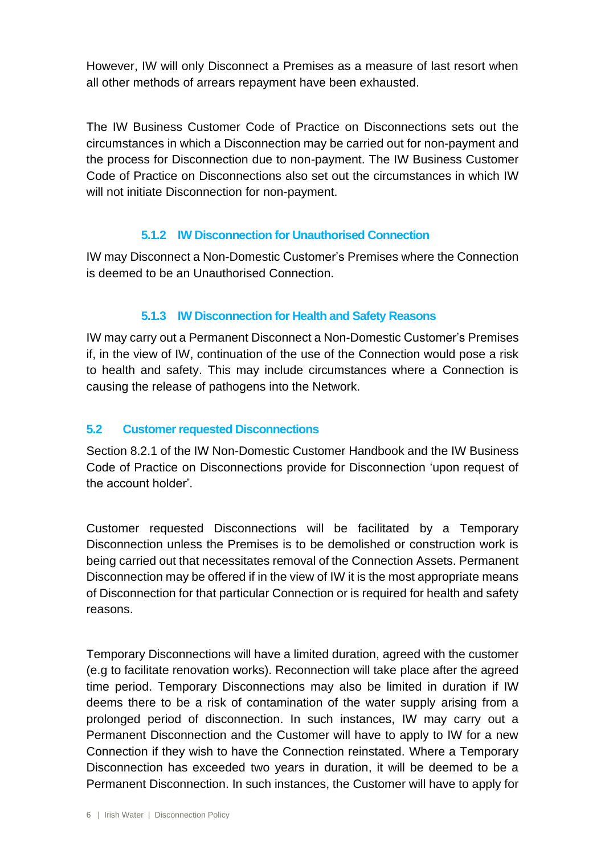However, IW will only Disconnect a Premises as a measure of last resort when all other methods of arrears repayment have been exhausted.

The IW Business Customer Code of Practice on Disconnections sets out the circumstances in which a Disconnection may be carried out for non-payment and the process for Disconnection due to non-payment. The IW Business Customer Code of Practice on Disconnections also set out the circumstances in which IW will not initiate Disconnection for non-payment.

#### **5.1.2 IW Disconnection for Unauthorised Connection**

IW may Disconnect a Non-Domestic Customer's Premises where the Connection is deemed to be an Unauthorised Connection.

#### **5.1.3 IW Disconnection for Health and Safety Reasons**

IW may carry out a Permanent Disconnect a Non-Domestic Customer's Premises if, in the view of IW, continuation of the use of the Connection would pose a risk to health and safety. This may include circumstances where a Connection is causing the release of pathogens into the Network.

#### **5.2 Customer requested Disconnections**

Section 8.2.1 of the IW Non-Domestic Customer Handbook and the IW Business Code of Practice on Disconnections provide for Disconnection 'upon request of the account holder'.

Customer requested Disconnections will be facilitated by a Temporary Disconnection unless the Premises is to be demolished or construction work is being carried out that necessitates removal of the Connection Assets. Permanent Disconnection may be offered if in the view of IW it is the most appropriate means of Disconnection for that particular Connection or is required for health and safety reasons.

Temporary Disconnections will have a limited duration, agreed with the customer (e.g to facilitate renovation works). Reconnection will take place after the agreed time period. Temporary Disconnections may also be limited in duration if IW deems there to be a risk of contamination of the water supply arising from a prolonged period of disconnection. In such instances, IW may carry out a Permanent Disconnection and the Customer will have to apply to IW for a new Connection if they wish to have the Connection reinstated. Where a Temporary Disconnection has exceeded two years in duration, it will be deemed to be a Permanent Disconnection. In such instances, the Customer will have to apply for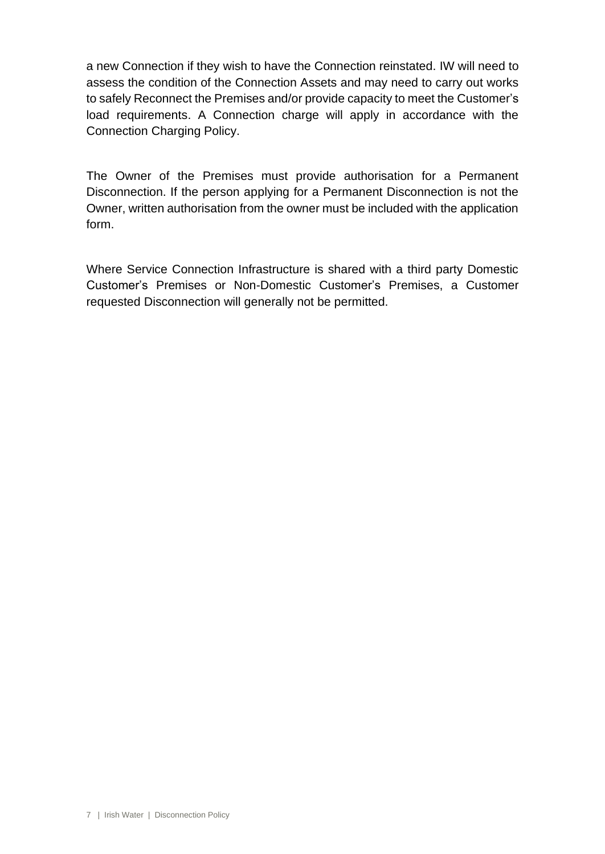a new Connection if they wish to have the Connection reinstated. IW will need to assess the condition of the Connection Assets and may need to carry out works to safely Reconnect the Premises and/or provide capacity to meet the Customer's load requirements. A Connection charge will apply in accordance with the Connection Charging Policy.

The Owner of the Premises must provide authorisation for a Permanent Disconnection. If the person applying for a Permanent Disconnection is not the Owner, written authorisation from the owner must be included with the application form.

Where Service Connection Infrastructure is shared with a third party Domestic Customer's Premises or Non-Domestic Customer's Premises, a Customer requested Disconnection will generally not be permitted.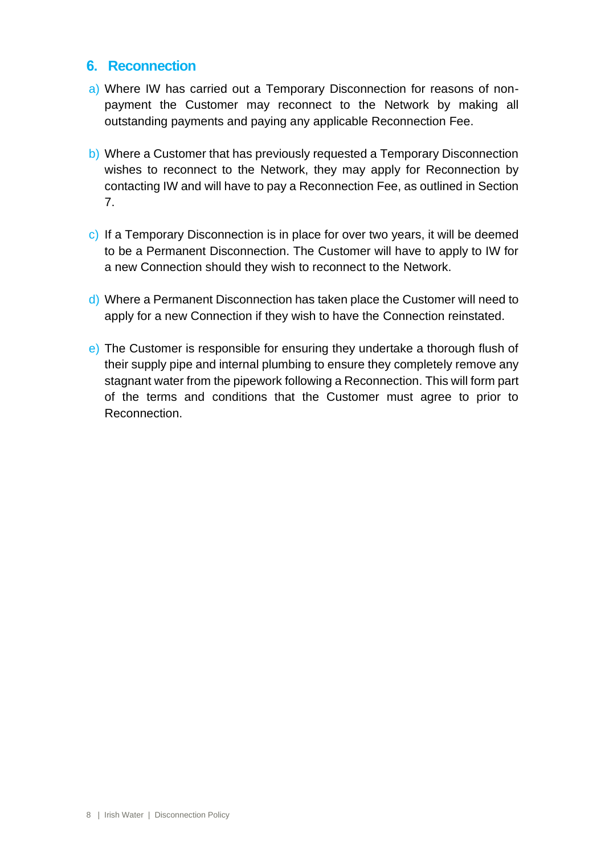### **6. Reconnection**

- a) Where IW has carried out a Temporary Disconnection for reasons of nonpayment the Customer may reconnect to the Network by making all outstanding payments and paying any applicable Reconnection Fee.
- b) Where a Customer that has previously requested a Temporary Disconnection wishes to reconnect to the Network, they may apply for Reconnection by contacting IW and will have to pay a Reconnection Fee, as outlined in Section 7.
- c) If a Temporary Disconnection is in place for over two years, it will be deemed to be a Permanent Disconnection. The Customer will have to apply to IW for a new Connection should they wish to reconnect to the Network.
- d) Where a Permanent Disconnection has taken place the Customer will need to apply for a new Connection if they wish to have the Connection reinstated.
- e) The Customer is responsible for ensuring they undertake a thorough flush of their supply pipe and internal plumbing to ensure they completely remove any stagnant water from the pipework following a Reconnection. This will form part of the terms and conditions that the Customer must agree to prior to Reconnection.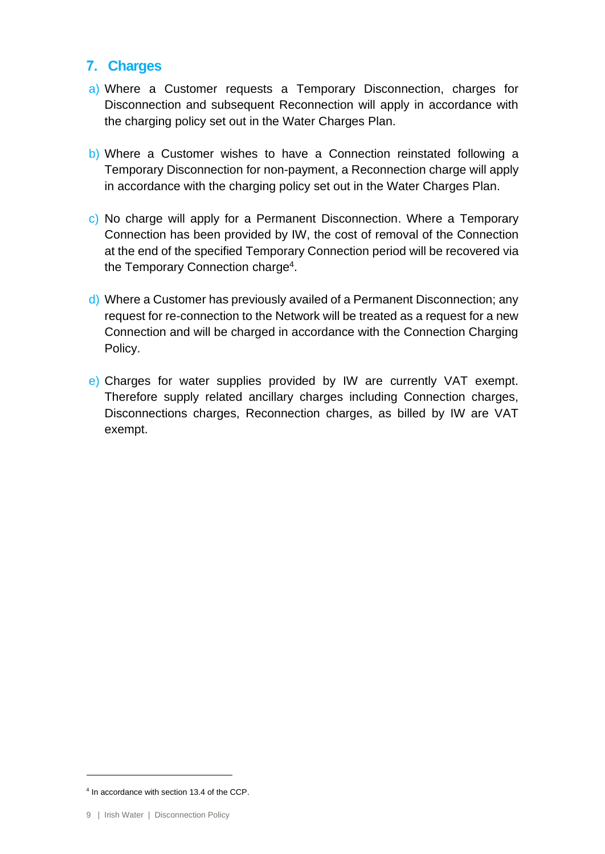# **7. Charges**

- a) Where a Customer requests a Temporary Disconnection, charges for Disconnection and subsequent Reconnection will apply in accordance with the charging policy set out in the Water Charges Plan.
- b) Where a Customer wishes to have a Connection reinstated following a Temporary Disconnection for non-payment, a Reconnection charge will apply in accordance with the charging policy set out in the Water Charges Plan.
- c) No charge will apply for a Permanent Disconnection. Where a Temporary Connection has been provided by IW, the cost of removal of the Connection at the end of the specified Temporary Connection period will be recovered via the Temporary Connection charge<sup>4</sup>.
- d) Where a Customer has previously availed of a Permanent Disconnection; any request for re-connection to the Network will be treated as a request for a new Connection and will be charged in accordance with the Connection Charging Policy.
- e) Charges for water supplies provided by IW are currently VAT exempt. Therefore supply related ancillary charges including Connection charges, Disconnections charges, Reconnection charges, as billed by IW are VAT exempt.

<sup>4</sup> In accordance with section 13.4 of the CCP.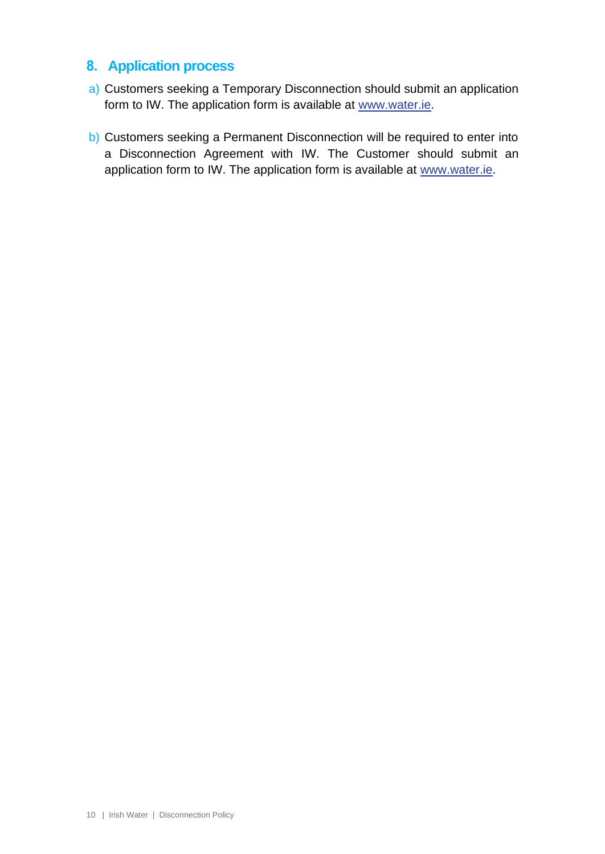# **8. Application process**

- a) Customers seeking a Temporary Disconnection should submit an application form to IW. The application form is available at [www.water.ie.](http://www.water.ie/)
- b) Customers seeking a Permanent Disconnection will be required to enter into a Disconnection Agreement with IW. The Customer should submit an application form to IW. The application form is available at [www.water.ie.](http://www.water.ie/)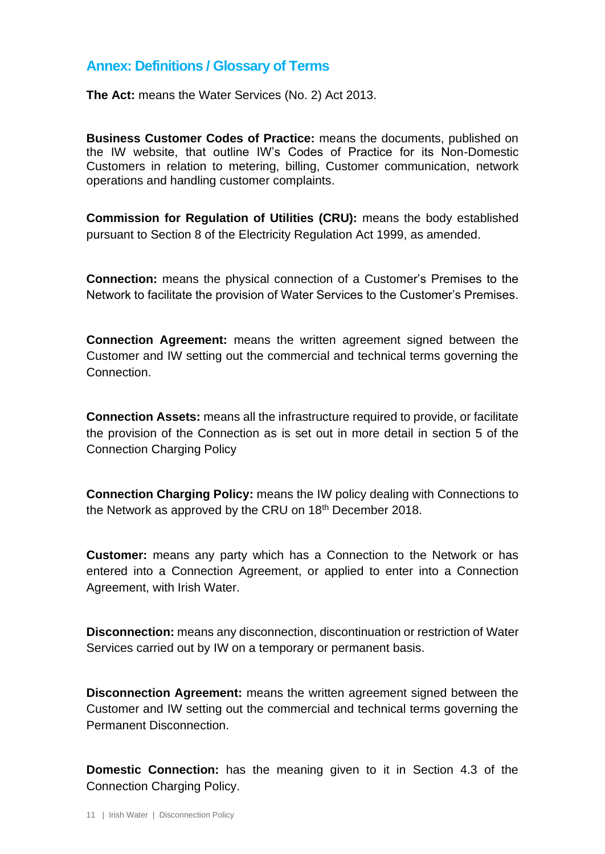# **Annex: Definitions / Glossary of Terms**

**The Act:** means the Water Services (No. 2) Act 2013.

**Business Customer Codes of Practice:** means the documents, published on the IW website, that outline IW's Codes of Practice for its Non-Domestic Customers in relation to metering, billing, Customer communication, network operations and handling customer complaints.

**Commission for Regulation of Utilities (CRU):** means the body established pursuant to Section 8 of the Electricity Regulation Act 1999, as amended.

**Connection:** means the physical connection of a Customer's Premises to the Network to facilitate the provision of Water Services to the Customer's Premises.

**Connection Agreement:** means the written agreement signed between the Customer and IW setting out the commercial and technical terms governing the Connection.

**Connection Assets:** means all the infrastructure required to provide, or facilitate the provision of the Connection as is set out in more detail in section 5 of the Connection Charging Policy

**Connection Charging Policy:** means the IW policy dealing with Connections to the Network as approved by the CRU on 18<sup>th</sup> December 2018.

**Customer:** means any party which has a Connection to the Network or has entered into a Connection Agreement, or applied to enter into a Connection Agreement, with Irish Water.

**Disconnection:** means any disconnection, discontinuation or restriction of Water Services carried out by IW on a temporary or permanent basis.

**Disconnection Agreement:** means the written agreement signed between the Customer and IW setting out the commercial and technical terms governing the Permanent Disconnection.

**Domestic Connection:** has the meaning given to it in Section 4.3 of the Connection Charging Policy.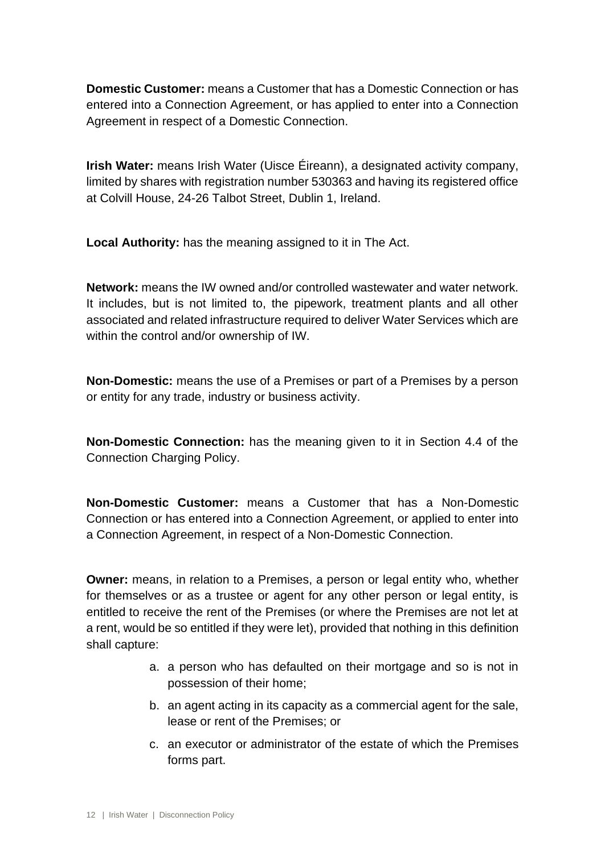**Domestic Customer:** means a Customer that has a Domestic Connection or has entered into a Connection Agreement, or has applied to enter into a Connection Agreement in respect of a Domestic Connection.

**Irish Water:** means Irish Water (Uisce Éireann), a designated activity company, limited by shares with registration number 530363 and having its registered office at Colvill House, 24-26 Talbot Street, Dublin 1, Ireland.

**Local Authority:** has the meaning assigned to it in The Act.

**Network:** means the IW owned and/or controlled wastewater and water network. It includes, but is not limited to, the pipework, treatment plants and all other associated and related infrastructure required to deliver Water Services which are within the control and/or ownership of IW.

**Non-Domestic:** means the use of a Premises or part of a Premises by a person or entity for any trade, industry or business activity.

**Non-Domestic Connection:** has the meaning given to it in Section 4.4 of the Connection Charging Policy.

**Non-Domestic Customer:** means a Customer that has a Non-Domestic Connection or has entered into a Connection Agreement, or applied to enter into a Connection Agreement, in respect of a Non-Domestic Connection.

**Owner:** means, in relation to a Premises, a person or legal entity who, whether for themselves or as a trustee or agent for any other person or legal entity, is entitled to receive the rent of the Premises (or where the Premises are not let at a rent, would be so entitled if they were let), provided that nothing in this definition shall capture:

- a. a person who has defaulted on their mortgage and so is not in possession of their home;
- b. an agent acting in its capacity as a commercial agent for the sale, lease or rent of the Premises; or
- c. an executor or administrator of the estate of which the Premises forms part.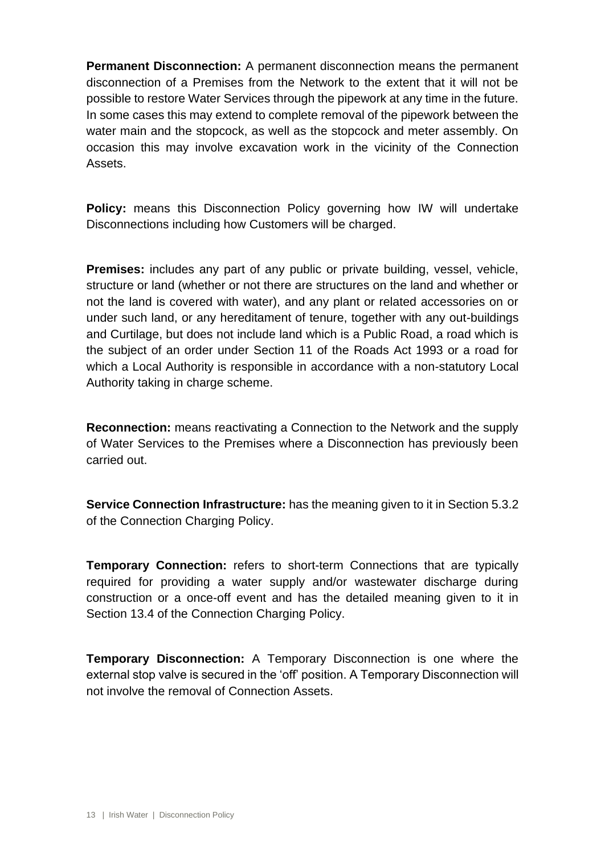**Permanent Disconnection:** A permanent disconnection means the permanent disconnection of a Premises from the Network to the extent that it will not be possible to restore Water Services through the pipework at any time in the future. In some cases this may extend to complete removal of the pipework between the water main and the stopcock, as well as the stopcock and meter assembly. On occasion this may involve excavation work in the vicinity of the Connection Assets.

**Policy:** means this Disconnection Policy governing how IW will undertake Disconnections including how Customers will be charged.

**Premises:** includes any part of any public or private building, vessel, vehicle, structure or land (whether or not there are structures on the land and whether or not the land is covered with water), and any plant or related accessories on or under such land, or any hereditament of tenure, together with any out-buildings and Curtilage, but does not include land which is a Public Road, a road which is the subject of an order under Section 11 of the Roads Act 1993 or a road for which a Local Authority is responsible in accordance with a non-statutory Local Authority taking in charge scheme.

**Reconnection:** means reactivating a Connection to the Network and the supply of Water Services to the Premises where a Disconnection has previously been carried out.

**Service Connection Infrastructure:** has the meaning given to it in Section 5.3.2 of the Connection Charging Policy.

**Temporary Connection:** refers to short-term Connections that are typically required for providing a water supply and/or wastewater discharge during construction or a once-off event and has the detailed meaning given to it in Section 13.4 of the Connection Charging Policy.

**Temporary Disconnection:** A Temporary Disconnection is one where the external stop valve is secured in the 'off' position. A Temporary Disconnection will not involve the removal of Connection Assets.